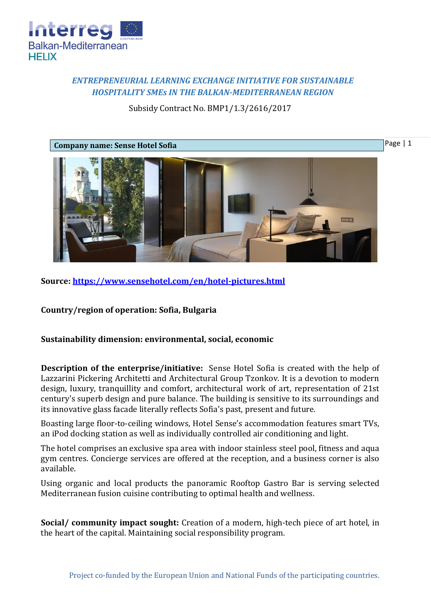

## *ENTREPRENEURIAL LEARNING EXCHANGE INITIATIVE FOR SUSTAINABLE HOSPITALITY SMEs IN THE BALKAN-MEDITERRANEAN REGION*

## Subsidy Contract No. BMP1/1.3/2616/2017



**Source:<https://www.sensehotel.com/en/hotel-pictures.html>**

**Country/region of operation: Sofia, Bulgaria**

## **Sustainability dimension: environmental, social, economic**

**Description of the enterprise/initiative:** Sense Hotel Sofia is created with the help of Lazzarini Pickering Architetti and Architectural Group Tzonkov. It is a devotion to modern design, luxury, tranquillity and comfort, architectural work of art, representation of 21st century's superb design and pure balance. The building is sensitive to its surroundings and its innovative glass facade literally reflects Sofia's past, present and future.

Boasting large floor-to-ceiling windows, Hotel Sense's accommodation features smart TVs, an iPod docking station as well as individually controlled air conditioning and light.

The hotel comprises an exclusive spa area with indoor stainless steel pool, fitness and aqua gym centres. Concierge services are offered at the reception, and a business corner is also available.

Using organic and local products the panoramic Rooftop Gastro Bar is serving selected Mediterranean fusion cuisine contributing to optimal health and wellness.

**Social/ community impact sought:** Creation of a modern, high-tech piece of art hotel, in the heart of the capital. Maintaining social responsibility program.